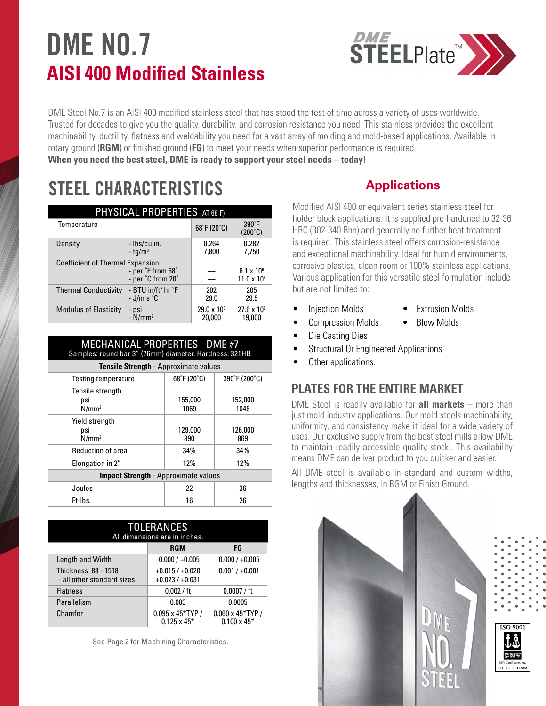# **DME NO.7 AISI 400 Modified Stainless**



DME Steel No.7 is an AISI 400 modified stainless steel that has stood the test of time across a variety of uses worldwide. Trusted for decades to give you the quality, durability, and corrosion resistance you need. This stainless provides the excellent machinability, ductility, flatness and weldability you need for a vast array of molding and mold-based applications. Available in rotary ground (**RGM**) or finished ground (**FG**) to meet your needs when superior performance is required. **When you need the best steel, DME is ready to support your steel needs – today!**

# **STEEL CHARACTERISTICS**

| PHYSICAL PROPERTIES (AT 68°F)           |                                              |                                |                                             |  |  |
|-----------------------------------------|----------------------------------------------|--------------------------------|---------------------------------------------|--|--|
| Temperature                             |                                              | 68°F (20°C)                    | $390^\circ F$<br>$(200^{\circ}C)$           |  |  |
| Density                                 | - Ibs/cu.in.<br>$-$ fg/m <sup>3</sup>        | 0.264<br>7.800                 | 0.282<br>7,750                              |  |  |
| <b>Coefficient of Thermal Expansion</b> | - per °F from 68°<br>- per °C from 20°       |                                | $6.1 \times 10^{6}$<br>$11.0 \times 10^{6}$ |  |  |
| <b>Thermal Conductivity</b>             | - BTU in/ft <sup>2</sup> hr °F<br>$-J/m s°C$ | 202<br>29.0                    | 205<br>29.5                                 |  |  |
| <b>Modulus of Elasticity</b>            | - psi<br>- N/mm²                             | $29.0 \times 10^{6}$<br>20,000 | $27.6 \times 10^{6}$<br>19,000              |  |  |

| MECHANICAL PROPERTIES - DME #7<br>Samples: round bar 3" (76mm) diameter. Hardness: 321HB |                                  |                 |  |  |
|------------------------------------------------------------------------------------------|----------------------------------|-----------------|--|--|
| Tensile Strength - Approximate values                                                    |                                  |                 |  |  |
| <b>Testing temperature</b>                                                               | $68^{\circ}$ F (20 $^{\circ}$ C) | 390°F (200°C)   |  |  |
| Tensile strength<br>psi<br>N/mm <sup>2</sup>                                             | 155,000<br>1069                  | 152,000<br>1048 |  |  |
| Yield strength<br>psi<br>N/mm <sup>2</sup>                                               | 129,000<br>890                   | 126,000<br>869  |  |  |
| Reduction of area                                                                        | 34%                              | 34%             |  |  |
| Elongation in 2"                                                                         | 12%                              | 12%             |  |  |
| <b>Impact Strength - Approximate values</b>                                              |                                  |                 |  |  |
| Joules                                                                                   | 22                               | 36              |  |  |
| Ft-Ibs.                                                                                  | 16                               | 26              |  |  |

| <b>TOLERANCES</b><br>All dimensions are in inches.       |                                                |                                                |  |  |
|----------------------------------------------------------|------------------------------------------------|------------------------------------------------|--|--|
|                                                          | <b>RGM</b>                                     | FG                                             |  |  |
| Length and Width                                         | $-0.000 / +0.005$                              | $-0.000 / +0.005$                              |  |  |
| <b>Thickness 88 - 1518</b><br>- all other standard sizes | $+0.015/+0.020$<br>$+0.023/+0.031$             | $-0.001 / +0.001$                              |  |  |
| <b>Flatness</b>                                          | 0.002 / ft                                     | 0.0007 / ft                                    |  |  |
| Parallelism                                              | 0.003                                          | 0.0005                                         |  |  |
| Chamfer                                                  | $0.095 \times 45*$ TYP /<br>$0.125 \times 45*$ | $0.060 \times 45*$ TYP /<br>$0.100 \times 45*$ |  |  |

See Page 2 for Machining Characteristics.

# **Applications**

Modified AISI 400 or equivalent series stainless steel for holder block applications. It is supplied pre-hardened to 32-36 HRC (302-340 Bhn) and generally no further heat treatment is required. This stainless steel offers corrosion-resistance and exceptional machinability. Ideal for humid environments, corrosive plastics, clean room or 100% stainless applications. Various application for this versatile steel formulation include but are not limited to:

- Injection Molds Extrusion Molds
	-
	- Compression Molds Blow Molds
- Die Casting Dies
- Structural Or Engineered Applications
- Other applications.

## **PLATES FOR THE ENTIRE MARKET**

DME Steel is readily available for **all markets** – more than just mold industry applications. Our mold steels machinability, uniformity, and consistency make it ideal for a wide variety of uses. Our exclusive supply from the best steel mills allow DME to maintain readily accessible quality stock.. This availability means DME can deliver product to you quicker and easier.

All DME steel is available in standard and custom widths, lengths and thicknesses, in RGM or Finish Ground.